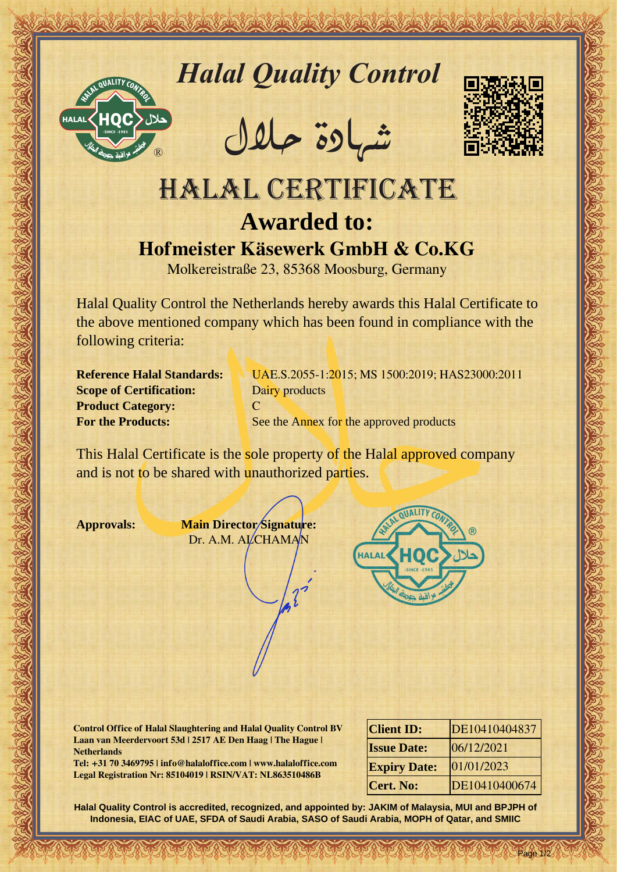

*Halal Quality Control*

REACTOR AND THE REAL PROPERTY OF THE REAL PROPERTY

�شهادة حالل



## Hallal Quality Control exception<br>
HALAL CERTIFICATE<br>
HALAL CERTIFICATE<br>
HALAL CERTIFICATE<br>
Hofmister Käsewerk GmbH & Co.KG<br>
Moleculation and the control exception and the control exception of the control exception of the c HALAL CERTIFICATE **Awarded to: Hofmeister Käsewerk GmbH & Co.KG**

Molkereistraße 23, 85368 Moosburg, Germany

Halal Quality Control the Netherlands hereby awards this Halal Certificate to the above mentioned company which has been found in compliance with the following criteria:

**Scope of Certification:** Dairy products **Product Category:** C

**Reference Halal Standards:** UAE.S.2055-1:2015; MS 1500:2019; HAS23000:2011 **For the Products:** See the Annex for the approved products

This Halal Certificate is the sole property of the Halal approved company and is not to be shared with unauthorized parties.

**Approvals: Main Director Signature:** Dr. A.M. ALCHAMAN



**Control Office of Halal Slaughtering and Halal Quality Control BV Laan van Meerdervoort 53d | 2517 AE Den Haag | The Hague | Netherlands**

**Tel: +31 70 3469795 | info@halaloffice.com | www.halaloffice.com Legal Registration Nr: 85104019 | RSIN/VAT: NL863510486B**

| <b>Client ID:</b>   | DE10410404837 |
|---------------------|---------------|
| <b>Issue Date:</b>  | 06/12/2021    |
| <b>Expiry Date:</b> | 01/01/2023    |
| <b>Cert. No:</b>    | DE10410400674 |

Page 1/2

**Halal Quality Control is accredited, recognized, and appointed by: JAKIM of Malaysia, MUI and BPJPH of Indonesia, EIAC of UAE, SFDA of Saudi Arabia, SASO of Saudi Arabia, MOPH of Qatar, and SMIIC**